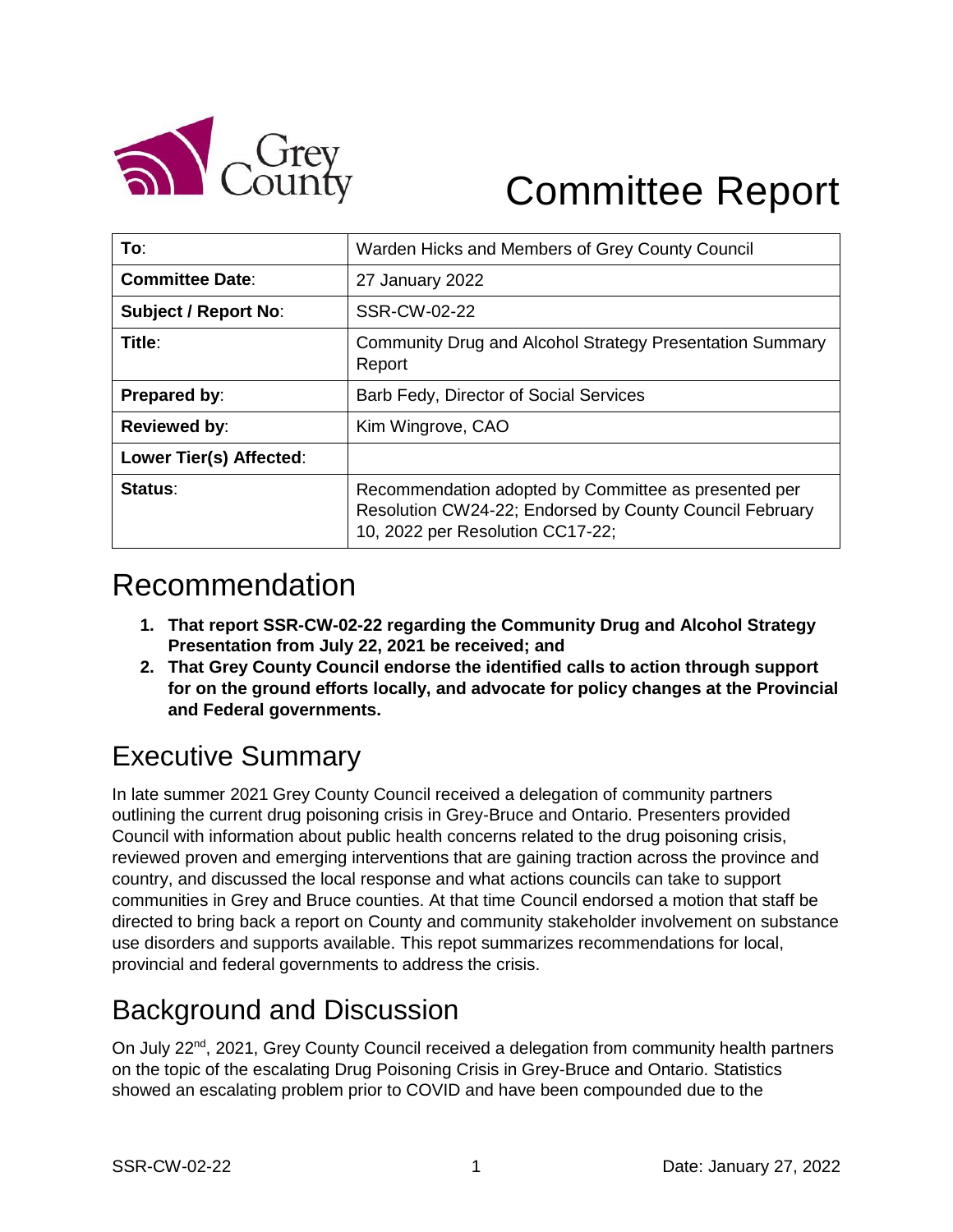

# Committee Report

| To∶                         | Warden Hicks and Members of Grey County Council                                                                                                     |
|-----------------------------|-----------------------------------------------------------------------------------------------------------------------------------------------------|
| <b>Committee Date:</b>      | 27 January 2022                                                                                                                                     |
| <b>Subject / Report No:</b> | SSR-CW-02-22                                                                                                                                        |
| Title:                      | Community Drug and Alcohol Strategy Presentation Summary<br>Report                                                                                  |
| Prepared by:                | Barb Fedy, Director of Social Services                                                                                                              |
| <b>Reviewed by:</b>         | Kim Wingrove, CAO                                                                                                                                   |
| Lower Tier(s) Affected:     |                                                                                                                                                     |
| Status:                     | Recommendation adopted by Committee as presented per<br>Resolution CW24-22; Endorsed by County Council February<br>10, 2022 per Resolution CC17-22; |

### Recommendation

- **1. That report SSR-CW-02-22 regarding the Community Drug and Alcohol Strategy Presentation from July 22, 2021 be received; and**
- **2. That Grey County Council endorse the identified calls to action through support for on the ground efforts locally, and advocate for policy changes at the Provincial and Federal governments.**

### Executive Summary

In late summer 2021 Grey County Council received a delegation of community partners outlining the current drug poisoning crisis in Grey-Bruce and Ontario. Presenters provided Council with information about public health concerns related to the drug poisoning crisis, reviewed proven and emerging interventions that are gaining traction across the province and country, and discussed the local response and what actions councils can take to support communities in Grey and Bruce counties. At that time Council endorsed a motion that staff be directed to bring back a report on County and community stakeholder involvement on substance use disorders and supports available. This repot summarizes recommendations for local, provincial and federal governments to address the crisis.

### Background and Discussion

On July 22<sup>nd</sup>, 2021, Grey County Council received a delegation from community health partners on the topic of the escalating Drug Poisoning Crisis in Grey-Bruce and Ontario. Statistics showed an escalating problem prior to COVID and have been compounded due to the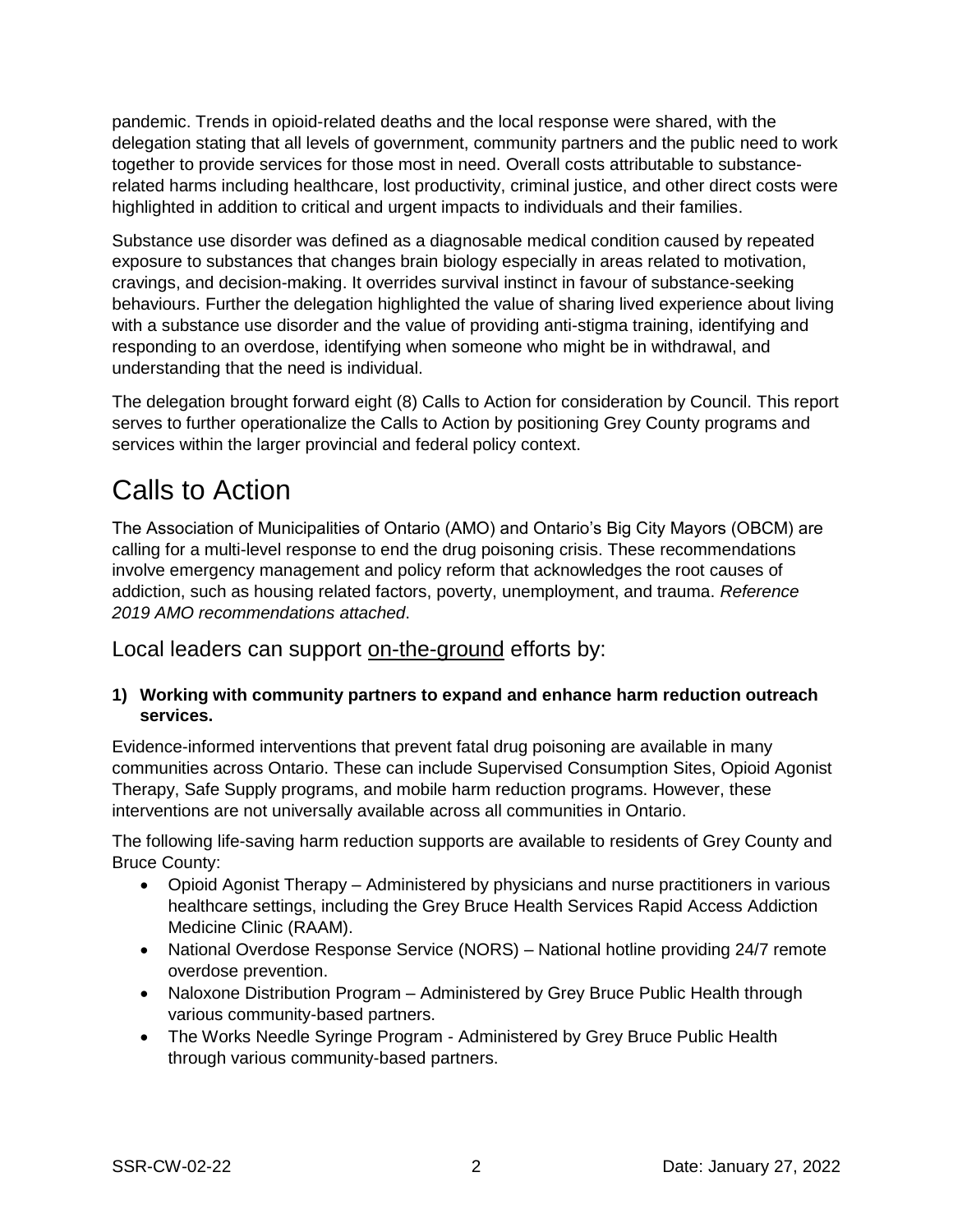pandemic. Trends in opioid-related deaths and the local response were shared, with the delegation stating that all levels of government, community partners and the public need to work together to provide services for those most in need. Overall costs attributable to substancerelated harms including healthcare, lost productivity, criminal justice, and other direct costs were highlighted in addition to critical and urgent impacts to individuals and their families.

Substance use disorder was defined as a diagnosable medical condition caused by repeated exposure to substances that changes brain biology especially in areas related to motivation, cravings, and decision-making. It overrides survival instinct in favour of substance-seeking behaviours. Further the delegation highlighted the value of sharing lived experience about living with a substance use disorder and the value of providing anti-stigma training, identifying and responding to an overdose, identifying when someone who might be in withdrawal, and understanding that the need is individual.

The delegation brought forward eight (8) Calls to Action for consideration by Council. This report serves to further operationalize the Calls to Action by positioning Grey County programs and services within the larger provincial and federal policy context.

### Calls to Action

The Association of Municipalities of Ontario (AMO) and Ontario's Big City Mayors (OBCM) are calling for a multi-level response to end the drug poisoning crisis. These recommendations involve emergency management and policy reform that acknowledges the root causes of addiction, such as housing related factors, poverty, unemployment, and trauma. *Reference 2019 AMO recommendations attached*.

Local leaders can support on-the-ground efforts by:

#### **1) Working with community partners to expand and enhance harm reduction outreach services.**

Evidence-informed interventions that prevent fatal drug poisoning are available in many communities across Ontario. These can include Supervised Consumption Sites, Opioid Agonist Therapy, Safe Supply programs, and mobile harm reduction programs. However, these interventions are not universally available across all communities in Ontario.

The following life-saving harm reduction supports are available to residents of Grey County and Bruce County:

- Opioid Agonist Therapy Administered by physicians and nurse practitioners in various healthcare settings, including the Grey Bruce Health Services Rapid Access Addiction Medicine Clinic (RAAM).
- National Overdose Response Service (NORS) National hotline providing 24/7 remote overdose prevention.
- Naloxone Distribution Program Administered by Grey Bruce Public Health through various community-based partners.
- The Works Needle Syringe Program Administered by Grey Bruce Public Health through various community-based partners.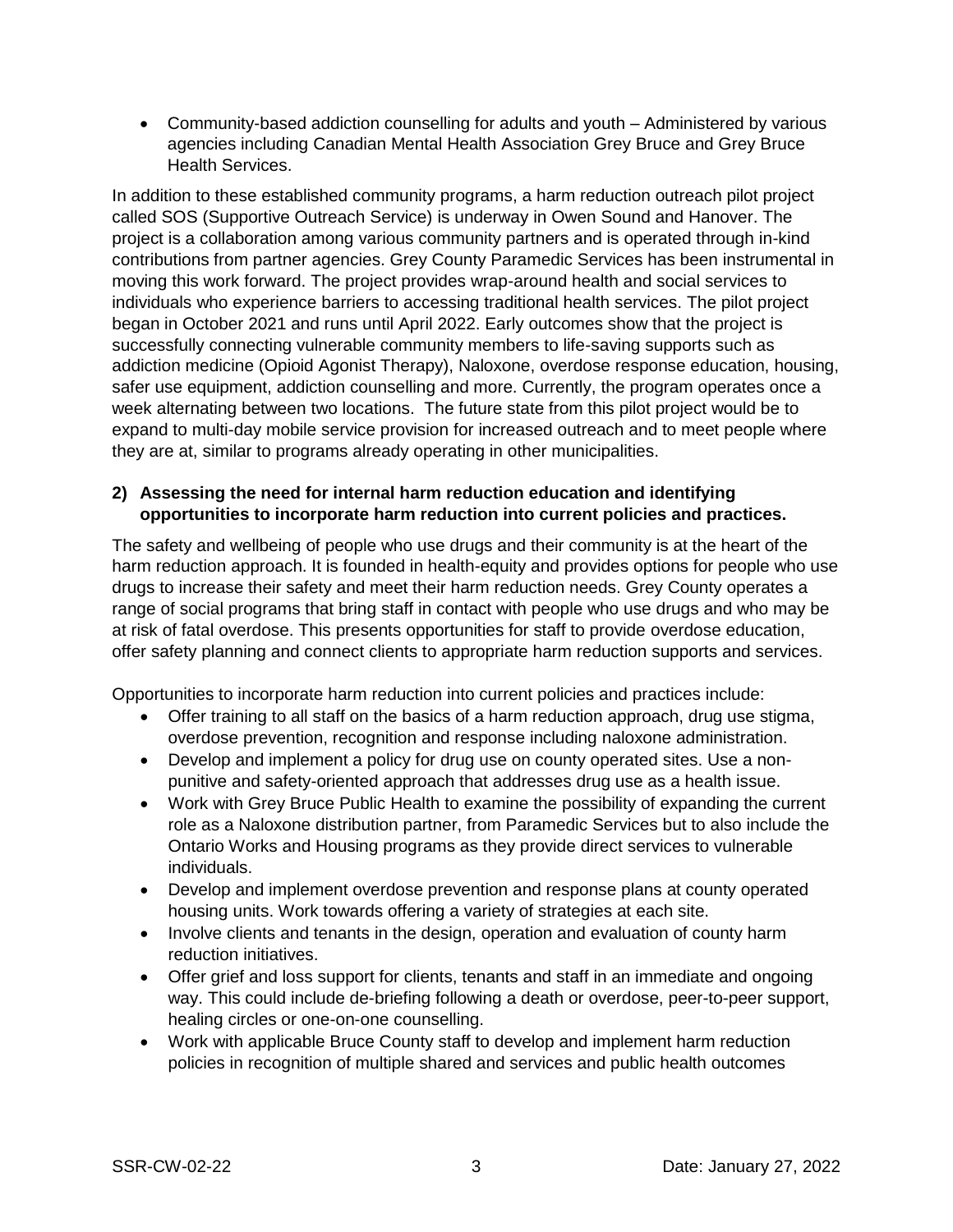Community-based addiction counselling for adults and youth – Administered by various agencies including Canadian Mental Health Association Grey Bruce and Grey Bruce Health Services.

In addition to these established community programs, a harm reduction outreach pilot project called SOS (Supportive Outreach Service) is underway in Owen Sound and Hanover. The project is a collaboration among various community partners and is operated through in-kind contributions from partner agencies. Grey County Paramedic Services has been instrumental in moving this work forward. The project provides wrap-around health and social services to individuals who experience barriers to accessing traditional health services. The pilot project began in October 2021 and runs until April 2022. Early outcomes show that the project is successfully connecting vulnerable community members to life-saving supports such as addiction medicine (Opioid Agonist Therapy), Naloxone, overdose response education, housing, safer use equipment, addiction counselling and more. Currently, the program operates once a week alternating between two locations. The future state from this pilot project would be to expand to multi-day mobile service provision for increased outreach and to meet people where they are at, similar to programs already operating in other municipalities.

#### **2) Assessing the need for internal harm reduction education and identifying opportunities to incorporate harm reduction into current policies and practices.**

The safety and wellbeing of people who use drugs and their community is at the heart of the harm reduction approach. It is founded in health-equity and provides options for people who use drugs to increase their safety and meet their harm reduction needs. Grey County operates a range of social programs that bring staff in contact with people who use drugs and who may be at risk of fatal overdose. This presents opportunities for staff to provide overdose education, offer safety planning and connect clients to appropriate harm reduction supports and services.

Opportunities to incorporate harm reduction into current policies and practices include:

- Offer training to all staff on the basics of a harm reduction approach, drug use stigma, overdose prevention, recognition and response including naloxone administration.
- Develop and implement a policy for drug use on county operated sites. Use a nonpunitive and safety-oriented approach that addresses drug use as a health issue.
- Work with Grey Bruce Public Health to examine the possibility of expanding the current role as a Naloxone distribution partner, from Paramedic Services but to also include the Ontario Works and Housing programs as they provide direct services to vulnerable individuals.
- Develop and implement overdose prevention and response plans at county operated housing units. Work towards offering a variety of strategies at each site.
- Involve clients and tenants in the design, operation and evaluation of county harm reduction initiatives.
- Offer grief and loss support for clients, tenants and staff in an immediate and ongoing way. This could include de-briefing following a death or overdose, peer-to-peer support, healing circles or one-on-one counselling.
- Work with applicable Bruce County staff to develop and implement harm reduction policies in recognition of multiple shared and services and public health outcomes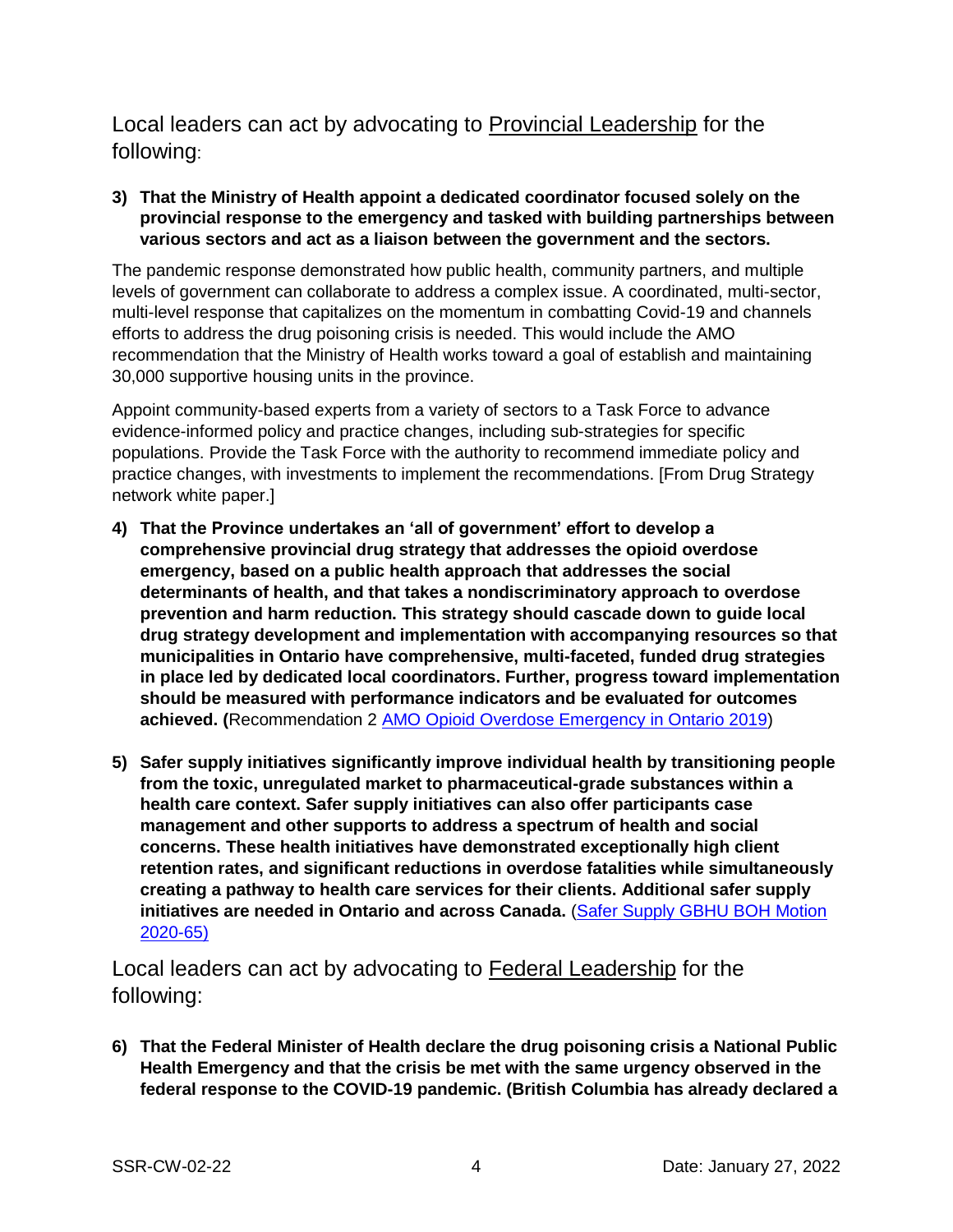Local leaders can act by advocating to Provincial Leadership for the following:

**3) That the Ministry of Health appoint a dedicated coordinator focused solely on the provincial response to the emergency and tasked with building partnerships between various sectors and act as a liaison between the government and the sectors.**

The pandemic response demonstrated how public health, community partners, and multiple levels of government can collaborate to address a complex issue. A coordinated, multi-sector, multi-level response that capitalizes on the momentum in combatting Covid-19 and channels efforts to address the drug poisoning crisis is needed. This would include the AMO recommendation that the Ministry of Health works toward a goal of establish and maintaining 30,000 supportive housing units in the province.

Appoint community-based experts from a variety of sectors to a Task Force to advance evidence-informed policy and practice changes, including sub-strategies for specific populations. Provide the Task Force with the authority to recommend immediate policy and practice changes, with investments to implement the recommendations. [From Drug Strategy network white paper.]

- **4) That the Province undertakes an 'all of government' effort to develop a comprehensive provincial drug strategy that addresses the opioid overdose emergency, based on a public health approach that addresses the social determinants of health, and that takes a nondiscriminatory approach to overdose prevention and harm reduction. This strategy should cascade down to guide local drug strategy development and implementation with accompanying resources so that municipalities in Ontario have comprehensive, multi-faceted, funded drug strategies in place led by dedicated local coordinators. Further, progress toward implementation should be measured with performance indicators and be evaluated for outcomes achieved. (**Recommendation 2 [AMO Opioid Overdose Emergency in Ontario 2019\)](https://docs.grey.ca/share/public?nodeRef=workspace://SpacesStore/8126486e-1565-4136-8884-f4fd8fe132ca)
- **5) Safer supply initiatives significantly improve individual health by transitioning people from the toxic, unregulated market to pharmaceutical-grade substances within a health care context. Safer supply initiatives can also offer participants case management and other supports to address a spectrum of health and social concerns. These health initiatives have demonstrated exceptionally high client retention rates, and significant reductions in overdose fatalities while simultaneously creating a pathway to health care services for their clients. Additional safer supply initiatives are needed in Ontario and across Canada.** [\(Safer Supply GBHU BOH Motion](https://docs.grey.ca/share/public?nodeRef=workspace://SpacesStore/54772c9c-524c-4155-868f-5e1d001cbea3)  [2020-65\)](https://docs.grey.ca/share/public?nodeRef=workspace://SpacesStore/54772c9c-524c-4155-868f-5e1d001cbea3)

Local leaders can act by advocating to Federal Leadership for the following:

**6) That the Federal Minister of Health declare the drug poisoning crisis a National Public Health Emergency and that the crisis be met with the same urgency observed in the federal response to the COVID-19 pandemic. (British Columbia has already declared a**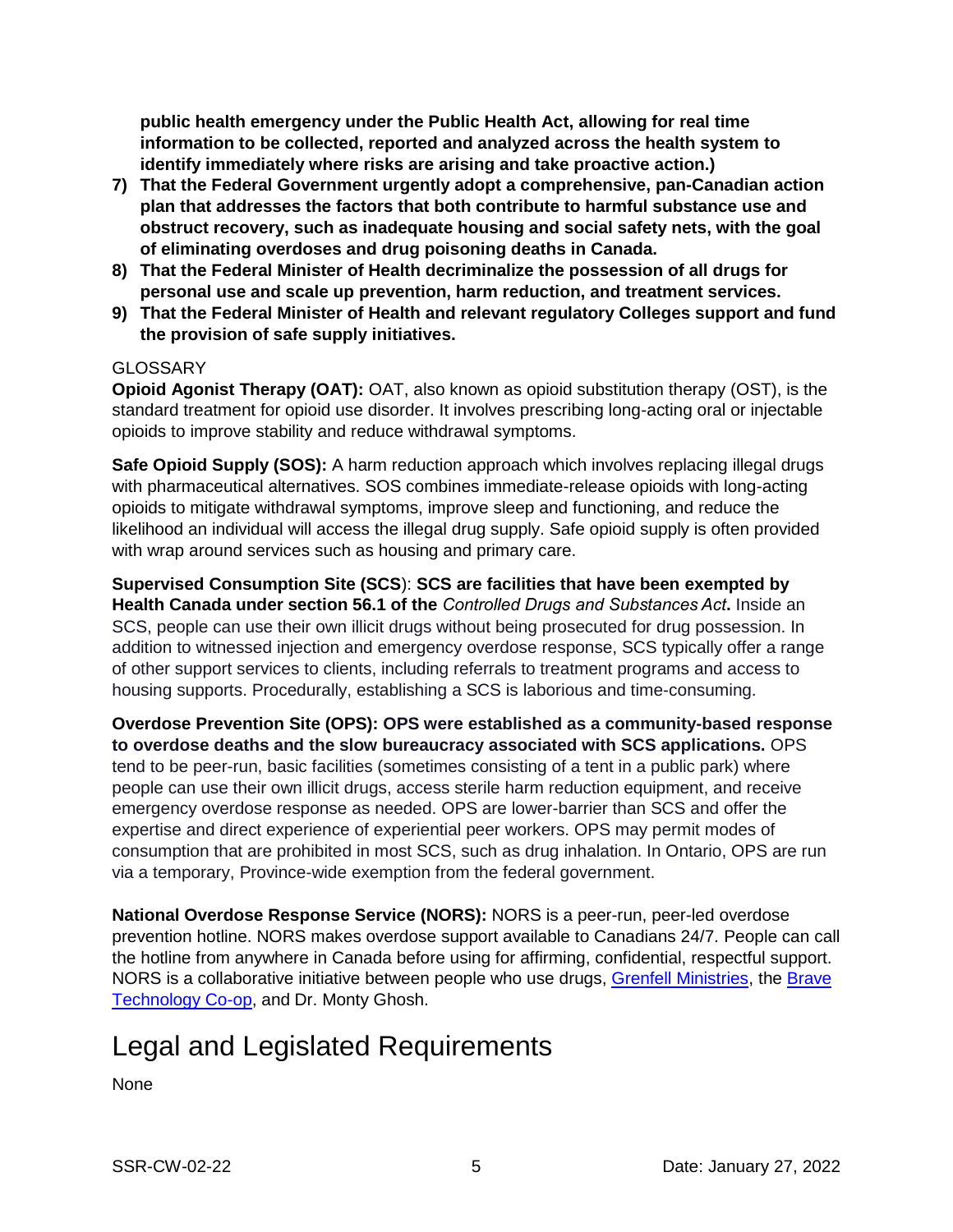**public health emergency under the Public Health Act, allowing for real time information to be collected, reported and analyzed across the health system to identify immediately where risks are arising and take proactive action.)**

- **7) That the Federal Government urgently adopt a comprehensive, pan-Canadian action plan that addresses the factors that both contribute to harmful substance use and obstruct recovery, such as inadequate housing and social safety nets, with the goal of eliminating overdoses and drug poisoning deaths in Canada.**
- **8) That the Federal Minister of Health decriminalize the possession of all drugs for personal use and scale up prevention, harm reduction, and treatment services.**
- **9) That the Federal Minister of Health and relevant regulatory Colleges support and fund the provision of safe supply initiatives.**

#### **GLOSSARY**

**Opioid Agonist Therapy (OAT):** OAT, also known as opioid substitution therapy (OST), is the standard treatment for opioid use disorder. It involves prescribing long-acting oral or injectable opioids to improve stability and reduce withdrawal symptoms.

**Safe Opioid Supply (SOS):** A harm reduction approach which involves replacing illegal drugs with pharmaceutical alternatives. SOS combines immediate-release opioids with long-acting opioids to mitigate withdrawal symptoms, improve sleep and functioning, and reduce the likelihood an individual will access the illegal drug supply. Safe opioid supply is often provided with wrap around services such as housing and primary care.

**Supervised Consumption Site (SCS**): **SCS are facilities that have been exempted by Health Canada under section 56.1 of the** *[Controlled Drugs and Substances Act](https://laws-lois.justice.gc.ca/eng/acts/c-38.8/page-1.html)***.** Inside an SCS, people can use their own illicit drugs without being prosecuted for drug possession. In addition to witnessed injection and emergency overdose response, SCS typically offer a range of other support services to clients, including referrals to treatment programs and access to housing supports. Procedurally, establishing a SCS is laborious and time-consuming.

**Overdose Prevention Site (OPS): OPS were established as a community-based response to overdose deaths and the slow bureaucracy associated with SCS applications.** OPS tend to be peer-run, basic facilities (sometimes consisting of a tent in a public park) where people can use their own illicit drugs, access sterile harm reduction equipment, and receive emergency overdose response as needed. OPS are lower-barrier than SCS and offer the expertise and direct experience of experiential peer workers. OPS may permit modes of consumption that are prohibited in most SCS, such as drug inhalation. In Ontario, OPS are run via a temporary, Province-wide exemption from the federal government.

**National Overdose Response Service (NORS):** NORS is a peer-run, peer-led overdose prevention hotline. NORS makes overdose support available to Canadians 24/7. People can call the hotline from anywhere in Canada before using for affirming, confidential, respectful support. NORS is a collaborative initiative between people who use drugs, [Grenfell Ministries,](https://www.grenfellministries.org/) the Brave [Technology Co-op,](https://www.brave.coop/) and Dr. Monty Ghosh.

### Legal and Legislated Requirements

None